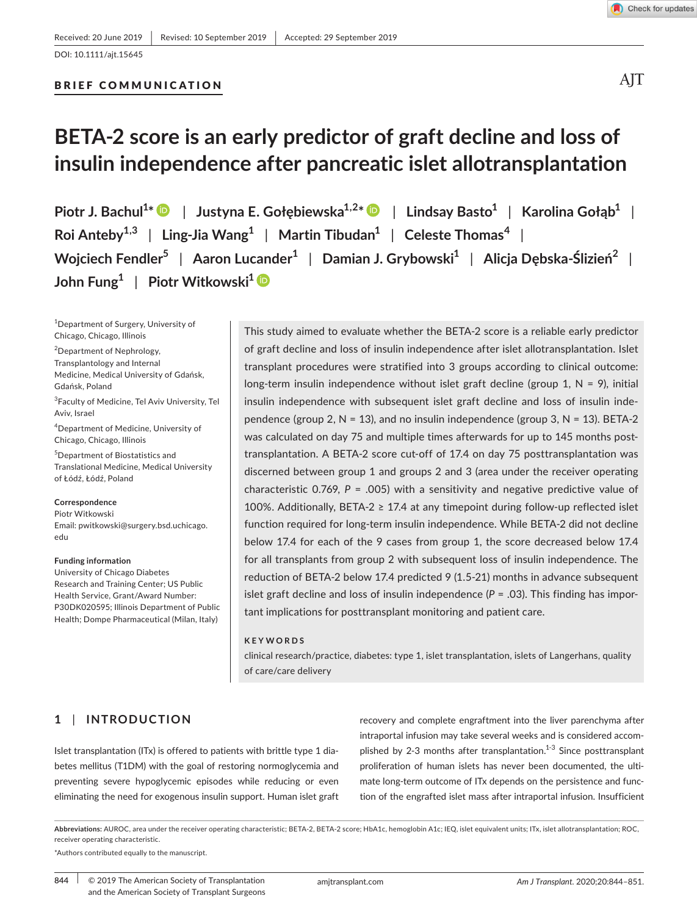BRIEF COMMUNICATION

AIT

# **BETA‐2 score is an early predictor of graft decline and loss of insulin independence after pancreatic islet allotransplantation**

**Piotr J. Bachul<sup>1</sup> \*** | **Justyna E. Gołębiewska1,2[\\*](https://orcid.org/0000-0001-5346-8369)** | **Lindsay Basto<sup>1</sup>** | **Karolina Gołąb<sup>1</sup>** | **Roi Anteby1,3** | **Ling‐Jia Wang<sup>1</sup>** | **Martin Tibudan<sup>1</sup>** | **Celeste Thomas<sup>4</sup>** | **Wojciech Fendler<sup>5</sup>** | **Aaron Lucander<sup>1</sup>** | **Damian J. Grybowski<sup>1</sup>** | **Alicja Dębska‐Ślizień2** | **John Fung<sup>1</sup>** | **Piotr Witkowski[1](https://orcid.org/0000-0002-4459-6673)**

<sup>1</sup>Department of Surgery, University of Chicago, Chicago, Illinois

<sup>2</sup>Department of Nephrology, Transplantology and Internal Medicine, Medical University of Gdańsk, Gdańsk, Poland

3 Faculty of Medicine, Tel Aviv University, Tel Aviv, Israel

4 Department of Medicine, University of Chicago, Chicago, Illinois

5 Department of Biostatistics and Translational Medicine, Medical University of Łódź, Łódź, Poland

**Correspondence** Piotr Witkowski

Email: [pwitkowski@surgery.bsd.uchicago.](mailto:pwitkowski@surgery.bsd.uchicago.edu) [edu](mailto:pwitkowski@surgery.bsd.uchicago.edu)

#### **Funding information**

University of Chicago Diabetes Research and Training Center; US Public Health Service, Grant/Award Number: P30DK020595; Illinois Department of Public Health; Dompe Pharmaceutical (Milan, Italy)

This study aimed to evaluate whether the BETA‐2 score is a reliable early predictor of graft decline and loss of insulin independence after islet allotransplantation. Islet transplant procedures were stratified into 3 groups according to clinical outcome: long-term insulin independence without islet graft decline (group 1,  $N = 9$ ), initial insulin independence with subsequent islet graft decline and loss of insulin inde‐ pendence (group 2,  $N = 13$ ), and no insulin independence (group 3,  $N = 13$ ). BETA-2 was calculated on day 75 and multiple times afterwards for up to 145 months posttransplantation. A BETA-2 score cut-off of 17.4 on day 75 posttransplantation was discerned between group 1 and groups 2 and 3 (area under the receiver operating characteristic 0.769,  $P = .005$ ) with a sensitivity and negative predictive value of 100%. Additionally, BETA‐2 ≥ 17.4 at any timepoint during follow‐up reflected islet function required for long‐term insulin independence. While BETA‐2 did not decline below 17.4 for each of the 9 cases from group 1, the score decreased below 17.4 for all transplants from group 2 with subsequent loss of insulin independence. The reduction of BETA‐2 below 17.4 predicted 9 (1.5‐21) months in advance subsequent islet graft decline and loss of insulin independence  $(P = .03)$ . This finding has important implications for posttransplant monitoring and patient care.

#### **KEYWORDS**

clinical research/practice, diabetes: type 1, islet transplantation, islets of Langerhans, quality of care/care delivery

# **1** | **INTRODUCTION**

Islet transplantation (ITx) is offered to patients with brittle type 1 dia‐ betes mellitus (T1DM) with the goal of restoring normoglycemia and preventing severe hypoglycemic episodes while reducing or even eliminating the need for exogenous insulin support. Human islet graft

recovery and complete engraftment into the liver parenchyma after intraportal infusion may take several weeks and is considered accom‐ plished by 2-3 months after transplantation.<sup>1-3</sup> Since posttransplant proliferation of human islets has never been documented, the ultimate long-term outcome of ITx depends on the persistence and function of the engrafted islet mass after intraportal infusion. Insufficient

**Abbreviations:** AUROC, area under the receiver operating characteristic; BETA‐2, BETA‐2 score; HbA1c, hemoglobin A1c; IEQ, islet equivalent units; ITx, islet allotransplantation; ROC, receiver operating characteristic.

\*Authors contributed equally to the manuscript.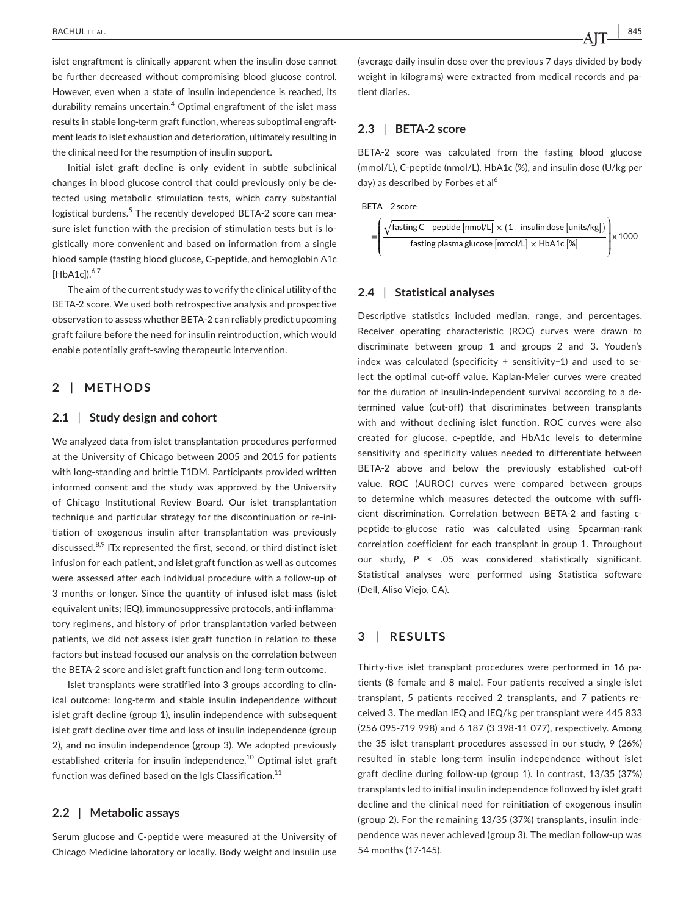islet engraftment is clinically apparent when the insulin dose cannot be further decreased without compromising blood glucose control. However, even when a state of insulin independence is reached, its durability remains uncertain.<sup>4</sup> Optimal engraftment of the islet mass results in stable long-term graft function, whereas suboptimal engraftment leads to islet exhaustion and deterioration, ultimately resulting in the clinical need for the resumption of insulin support.

Initial islet graft decline is only evident in subtle subclinical changes in blood glucose control that could previously only be de‐ tected using metabolic stimulation tests, which carry substantial logistical burdens.<sup>5</sup> The recently developed BETA-2 score can measure islet function with the precision of stimulation tests but is logistically more convenient and based on information from a single blood sample (fasting blood glucose, C‐peptide, and hemoglobin A1c  $[HbA1c]$ ).<sup>6,7</sup>

The aim of the current study was to verify the clinical utility of the BETA‐2 score. We used both retrospective analysis and prospective observation to assess whether BETA‐2 can reliably predict upcoming graft failure before the need for insulin reintroduction, which would enable potentially graft‐saving therapeutic intervention.

# **2** | **METHODS**

## **2.1** | **Study design and cohort**

We analyzed data from islet transplantation procedures performed at the University of Chicago between 2005 and 2015 for patients with long-standing and brittle T1DM. Participants provided written informed consent and the study was approved by the University of Chicago Institutional Review Board. Our islet transplantation technique and particular strategy for the discontinuation or re-initiation of exogenous insulin after transplantation was previously discussed.8,9 ITx represented the first, second, or third distinct islet infusion for each patient, and islet graft function as well as outcomes were assessed after each individual procedure with a follow‐up of 3 months or longer. Since the quantity of infused islet mass (islet equivalent units; IEQ), immunosuppressive protocols, anti-inflammatory regimens, and history of prior transplantation varied between patients, we did not assess islet graft function in relation to these factors but instead focused our analysis on the correlation between the BETA‐2 score and islet graft function and long‐term outcome.

Islet transplants were stratified into 3 groups according to clin‐ ical outcome: long‐term and stable insulin independence without islet graft decline (group 1), insulin independence with subsequent islet graft decline over time and loss of insulin independence (group 2), and no insulin independence (group 3). We adopted previously established criteria for insulin independence.<sup>10</sup> Optimal islet graft function was defined based on the Igls Classification.<sup>11</sup>

#### **2.2** | **Metabolic assays**

Serum glucose and C‐peptide were measured at the University of Chicago Medicine laboratory or locally. Body weight and insulin use (average daily insulin dose over the previous 7 days divided by body weight in kilograms) were extracted from medical records and patient diaries.

## **2.3** | **BETA‐2 score**

BETA-2 score was calculated from the fasting blood glucose (mmol/L), C‐peptide (nmol/L), HbA1c (%), and insulin dose (U/kg per day) as described by Forbes et al<sup>6</sup>

BETA−2 score

$$
= \left(\frac{\sqrt{\text{fasting C} - \text{peptide [nmol/L]}} \times (1 - \text{insulin dose [units/kg]})}{\text{fasting plasma glucose [mmol/L]} \times \text{HbA1c} \, [\%]} \right) \times 1000
$$

## **2.4** | **Statistical analyses**

Descriptive statistics included median, range, and percentages. Receiver operating characteristic (ROC) curves were drawn to discriminate between group 1 and groups 2 and 3. Youden's index was calculated (specificity + sensitivity−1) and used to se‐ lect the optimal cut‐off value. Kaplan‐Meier curves were created for the duration of insulin‐independent survival according to a de‐ termined value (cut‐off) that discriminates between transplants with and without declining islet function. ROC curves were also created for glucose, c‐peptide, and HbA1c levels to determine sensitivity and specificity values needed to differentiate between BETA-2 above and below the previously established cut-off value. ROC (AUROC) curves were compared between groups to determine which measures detected the outcome with suffi‐ cient discrimination. Correlation between BETA‐2 and fasting c‐ peptide‐to‐glucose ratio was calculated using Spearman‐rank correlation coefficient for each transplant in group 1. Throughout our study, *P* < .05 was considered statistically significant. Statistical analyses were performed using Statistica software (Dell, Aliso Viejo, CA).

## **3** | **RESULTS**

Thirty-five islet transplant procedures were performed in 16 patients (8 female and 8 male). Four patients received a single islet transplant, 5 patients received 2 transplants, and 7 patients re‐ ceived 3. The median IEQ and IEQ/kg per transplant were 445 833 (256 095‐719 998) and 6 187 (3 398‐11 077), respectively. Among the 35 islet transplant procedures assessed in our study, 9 (26%) resulted in stable long‐term insulin independence without islet graft decline during follow‐up (group 1). In contrast, 13/35 (37%) transplants led to initial insulin independence followed by islet graft decline and the clinical need for reinitiation of exogenous insulin (group 2). For the remaining 13/35 (37%) transplants, insulin inde‐ pendence was never achieved (group 3). The median follow‐up was 54 months (17‐145).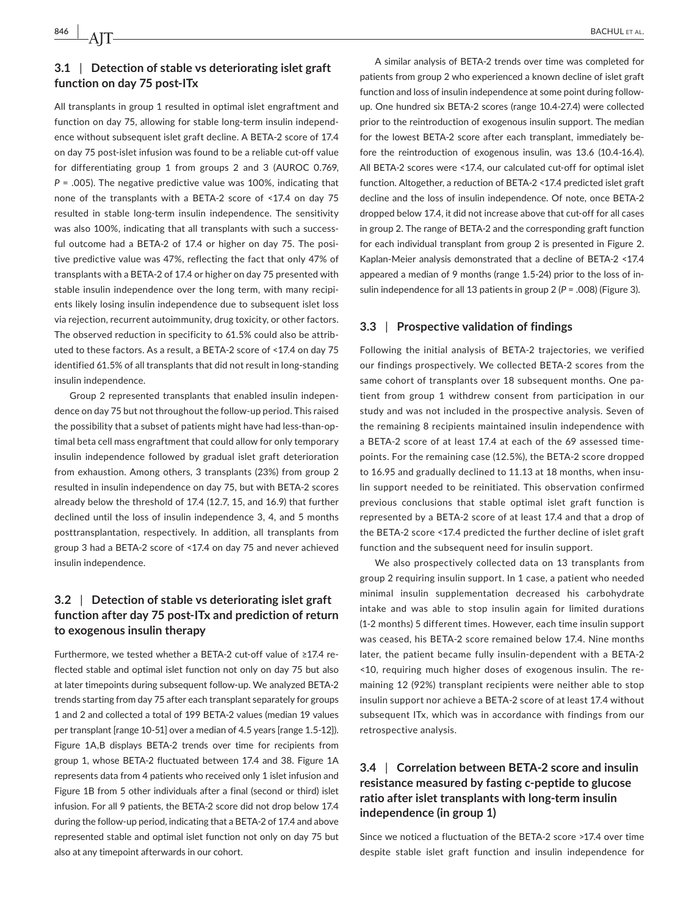# **3.1** | **Detection of stable vs deteriorating islet graft function on day 75 post‐ITx**

All transplants in group 1 resulted in optimal islet engraftment and function on day 75, allowing for stable long-term insulin independence without subsequent islet graft decline. A BETA‐2 score of 17.4 on day 75 post‐islet infusion was found to be a reliable cut‐off value for differentiating group 1 from groups 2 and 3 (AUROC 0.769, *P* = .005). The negative predictive value was 100%, indicating that none of the transplants with a BETA‐2 score of <17.4 on day 75 resulted in stable long‐term insulin independence. The sensitivity was also 100%, indicating that all transplants with such a successful outcome had a BETA-2 of 17.4 or higher on day 75. The positive predictive value was 47%, reflecting the fact that only 47% of transplants with a BETA‐2 of 17.4 or higher on day 75 presented with stable insulin independence over the long term, with many recipients likely losing insulin independence due to subsequent islet loss via rejection, recurrent autoimmunity, drug toxicity, or other factors. The observed reduction in specificity to 61.5% could also be attrib‐ uted to these factors. As a result, a BETA‐2 score of <17.4 on day 75 identified 61.5% of all transplants that did not result in long‐standing insulin independence.

Group 2 represented transplants that enabled insulin indepen‐ dence on day 75 but not throughout the follow‐up period. This raised the possibility that a subset of patients might have had less-than-optimal beta cell mass engraftment that could allow for only temporary insulin independence followed by gradual islet graft deterioration from exhaustion. Among others, 3 transplants (23%) from group 2 resulted in insulin independence on day 75, but with BETA‐2 scores already below the threshold of 17.4 (12.7, 15, and 16.9) that further declined until the loss of insulin independence 3, 4, and 5 months posttransplantation, respectively. In addition, all transplants from group 3 had a BETA‐2 score of <17.4 on day 75 and never achieved insulin independence.

# **3.2** | **Detection of stable vs deteriorating islet graft function after day 75 post‐ITx and prediction of return to exogenous insulin therapy**

Furthermore, we tested whether a BETA‐2 cut‐off value of ≥17.4 re‐ flected stable and optimal islet function not only on day 75 but also at later timepoints during subsequent follow‐up. We analyzed BETA‐2 trends starting from day 75 after each transplant separately for groups 1 and 2 and collected a total of 199 BETA‐2 values (median 19 values per transplant [range 10‐51] over a median of 4.5 years [range 1.5‐12]). Figure 1A,B displays BETA‐2 trends over time for recipients from group 1, whose BETA‐2 fluctuated between 17.4 and 38. Figure 1A represents data from 4 patients who received only 1 islet infusion and Figure 1B from 5 other individuals after a final (second or third) islet infusion. For all 9 patients, the BETA‐2 score did not drop below 17.4 during the follow‐up period, indicating that a BETA‐2 of 17.4 and above represented stable and optimal islet function not only on day 75 but also at any timepoint afterwards in our cohort.

A similar analysis of BETA‐2 trends over time was completed for patients from group 2 who experienced a known decline of islet graft function and loss of insulin independence at some point during follow‐ up. One hundred six BETA‐2 scores (range 10.4‐27.4) were collected prior to the reintroduction of exogenous insulin support. The median for the lowest BETA‐2 score after each transplant, immediately be‐ fore the reintroduction of exogenous insulin, was 13.6 (10.4‐16.4). All BETA-2 scores were <17.4, our calculated cut-off for optimal islet function. Altogether, a reduction of BETA‐2 <17.4 predicted islet graft decline and the loss of insulin independence. Of note, once BETA‐2 dropped below 17.4, it did not increase above that cut‐off for all cases in group 2. The range of BETA‐2 and the corresponding graft function for each individual transplant from group 2 is presented in Figure 2. Kaplan‐Meier analysis demonstrated that a decline of BETA‐2 <17.4 appeared a median of 9 months (range 1.5‐24) prior to the loss of in‐ sulin independence for all 13 patients in group 2 (*P* = .008) (Figure 3).

## **3.3** | **Prospective validation of findings**

Following the initial analysis of BETA‐2 trajectories, we verified our findings prospectively. We collected BETA‐2 scores from the same cohort of transplants over 18 subsequent months. One patient from group 1 withdrew consent from participation in our study and was not included in the prospective analysis. Seven of the remaining 8 recipients maintained insulin independence with a BETA‐2 score of at least 17.4 at each of the 69 assessed time‐ points. For the remaining case (12.5%), the BETA‐2 score dropped to 16.95 and gradually declined to 11.13 at 18 months, when insu‐ lin support needed to be reinitiated. This observation confirmed previous conclusions that stable optimal islet graft function is represented by a BETA‐2 score of at least 17.4 and that a drop of the BETA‐2 score <17.4 predicted the further decline of islet graft function and the subsequent need for insulin support.

We also prospectively collected data on 13 transplants from group 2 requiring insulin support. In 1 case, a patient who needed minimal insulin supplementation decreased his carbohydrate intake and was able to stop insulin again for limited durations (1‐2 months) 5 different times. However, each time insulin support was ceased, his BETA‐2 score remained below 17.4. Nine months later, the patient became fully insulin‐dependent with a BETA‐2 <10, requiring much higher doses of exogenous insulin. The re‐ maining 12 (92%) transplant recipients were neither able to stop insulin support nor achieve a BETA‐2 score of at least 17.4 without subsequent ITx, which was in accordance with findings from our retrospective analysis.

# **3.4** | **Correlation between BETA‐2 score and insulin resistance measured by fasting c‐peptide to glucose ratio after islet transplants with long‐term insulin independence (in group 1)**

Since we noticed a fluctuation of the BETA‐2 score >17.4 over time despite stable islet graft function and insulin independence for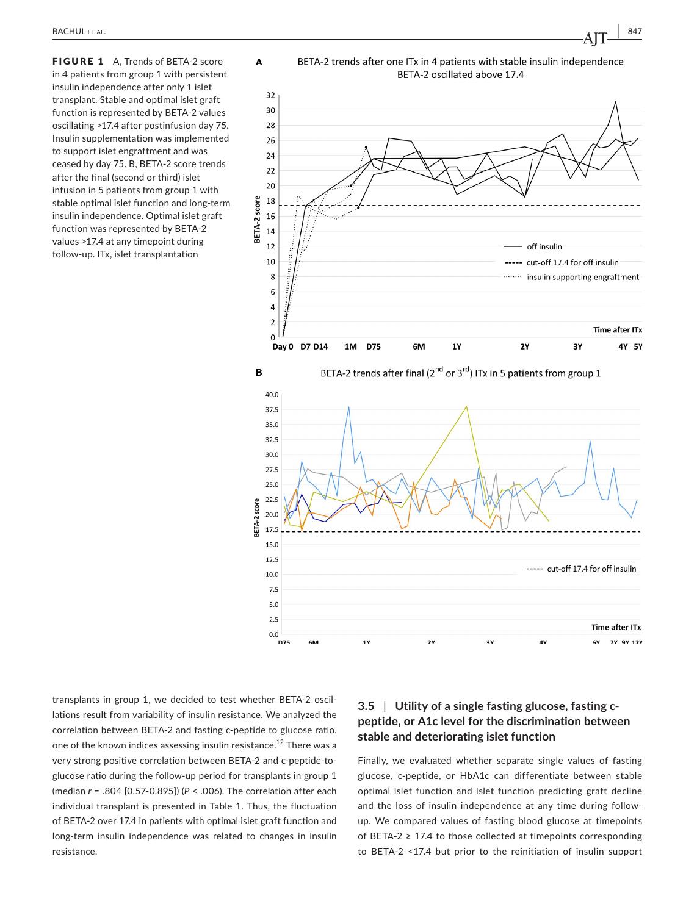FIGURE 1 A. Trends of BETA-2 score in 4 patients from group 1 with persistent insulin independence after only 1 islet transplant. Stable and optimal islet graft function is represented by BETA‐2 values oscillating >17.4 after postinfusion day 75. Insulin supplementation was implemented to support islet engraftment and was ceased by day 75. B, BETA‐2 score trends after the final (second or third) islet infusion in 5 patients from group 1 with stable optimal islet function and long‐term insulin independence. Optimal islet graft function was represented by BETA‐2 values >17.4 at any timepoint during follow‐up. ITx, islet transplantation



transplants in group 1, we decided to test whether BETA‐2 oscil‐ lations result from variability of insulin resistance. We analyzed the correlation between BETA‐2 and fasting c‐peptide to glucose ratio, one of the known indices assessing insulin resistance.<sup>12</sup> There was a very strong positive correlation between BETA‐2 and c‐peptide‐to‐ glucose ratio during the follow-up period for transplants in group 1 (median *r* = .804 [0.57‐0.895]) (*P* < .006). The correlation after each individual transplant is presented in Table 1. Thus, the fluctuation of BETA‐2 over 17.4 in patients with optimal islet graft function and long‐term insulin independence was related to changes in insulin resistance.

# **3.5** | **Utility of a single fasting glucose, fasting c‐ peptide, or A1c level for the discrimination between stable and deteriorating islet function**

Finally, we evaluated whether separate single values of fasting glucose, c‐peptide, or HbA1c can differentiate between stable optimal islet function and islet function predicting graft decline and the loss of insulin independence at any time during follow‐ up. We compared values of fasting blood glucose at timepoints of BETA-2  $\geq$  17.4 to those collected at timepoints corresponding to BETA‐2 <17.4 but prior to the reinitiation of insulin support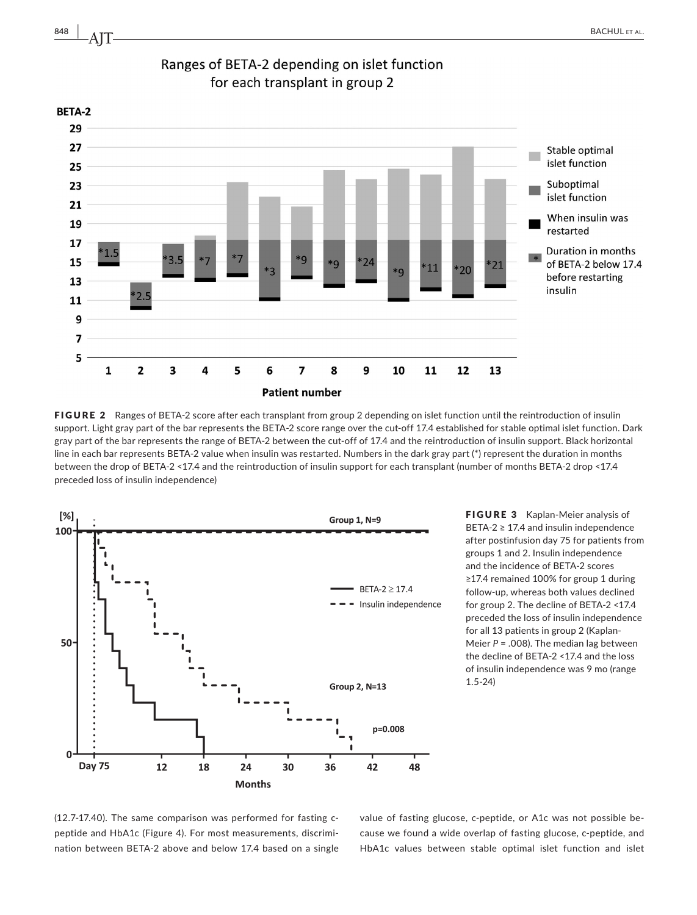

FIGURE 2 Ranges of BETA-2 score after each transplant from group 2 depending on islet function until the reintroduction of insulin support. Light gray part of the bar represents the BETA-2 score range over the cut-off 17.4 established for stable optimal islet function. Dark gray part of the bar represents the range of BETA‐2 between the cut‐off of 17.4 and the reintroduction of insulin support. Black horizontal line in each bar represents BETA‐2 value when insulin was restarted. Numbers in the dark gray part (\*) represent the duration in months between the drop of BETA‐2 <17.4 and the reintroduction of insulin support for each transplant (number of months BETA‐2 drop <17.4 preceded loss of insulin independence)

8

9

10

11

 $12$ 

13



FIGURE 3 Kaplan-Meier analysis of BETA‐2 ≥ 17.4 and insulin independence after postinfusion day 75 for patients from groups 1 and 2. Insulin independence and the incidence of BETA‐2 scores ≥17.4 remained 100% for group 1 during follow‐up, whereas both values declined for group 2. The decline of BETA‐2 <17.4 preceded the loss of insulin independence for all 13 patients in group 2 (Kaplan‐ Meier *P* = .008). The median lag between the decline of BETA‐2 <17.4 and the loss of insulin independence was 9 mo (range 1.5‐24)

(12.7‐17.40). The same comparison was performed for fasting c‐ peptide and HbA1c (Figure 4). For most measurements, discrimination between BETA‐2 above and below 17.4 based on a single value of fasting glucose, c-peptide, or A1c was not possible because we found a wide overlap of fasting glucose, c‐peptide, and HbA1c values between stable optimal islet function and islet

 $\overline{7}$ 5

 $\mathbf{1}$ 

 $\overline{2}$ 

3

5

4

6

 $\overline{7}$ 

**Patient number**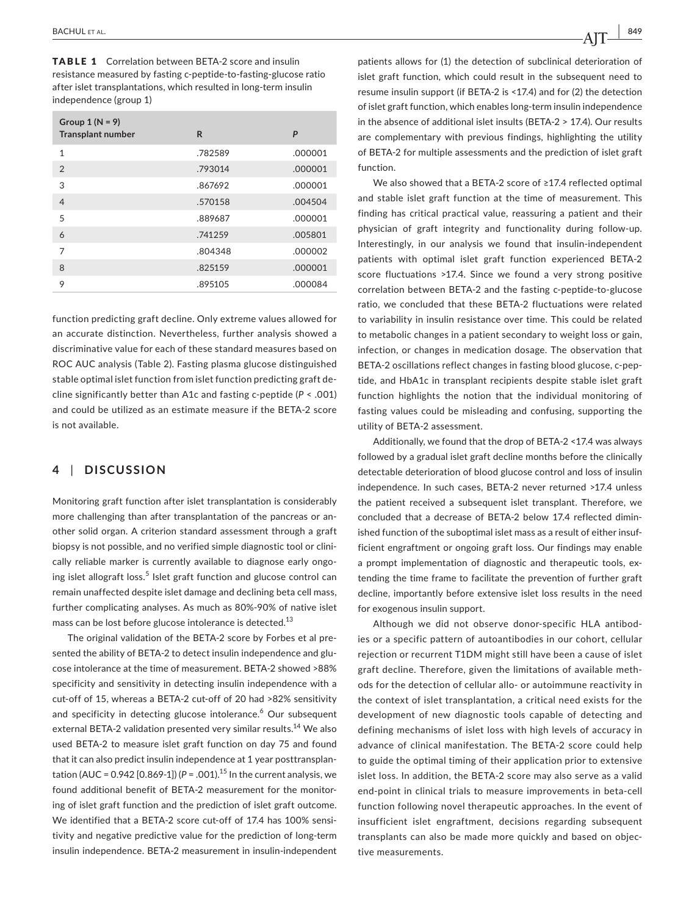TABLE 1 Correlation between BETA‐2 score and insulin resistance measured by fasting c‐peptide‐to‐fasting‐glucose ratio after islet transplantations, which resulted in long‐term insulin independence (group 1)

| Group $1(N = 9)$<br><b>Transplant number</b> | R       | P       |
|----------------------------------------------|---------|---------|
| 1                                            | .782589 | .000001 |
| $\overline{2}$                               | .793014 | .000001 |
| 3                                            | .867692 | .000001 |
| $\overline{4}$                               | .570158 | .004504 |
| 5                                            | .889687 | .000001 |
| 6                                            | .741259 | .005801 |
| 7                                            | .804348 | .000002 |
| 8                                            | .825159 | .000001 |
| 9                                            | .895105 | .000084 |

function predicting graft decline. Only extreme values allowed for an accurate distinction. Nevertheless, further analysis showed a discriminative value for each of these standard measures based on ROC AUC analysis (Table 2). Fasting plasma glucose distinguished stable optimal islet function from islet function predicting graft de‐ cline significantly better than A1c and fasting c‐peptide (*P* < .001) and could be utilized as an estimate measure if the BETA‐2 score is not available.

# **4** | **DISCUSSION**

Monitoring graft function after islet transplantation is considerably more challenging than after transplantation of the pancreas or an‐ other solid organ. A criterion standard assessment through a graft biopsy is not possible, and no verified simple diagnostic tool or clini‐ cally reliable marker is currently available to diagnose early ongoing islet allograft loss.<sup>5</sup> Islet graft function and glucose control can remain unaffected despite islet damage and declining beta cell mass, further complicating analyses. As much as 80%‐90% of native islet mass can be lost before glucose intolerance is detected.<sup>13</sup>

The original validation of the BETA‐2 score by Forbes et al pre‐ sented the ability of BETA-2 to detect insulin independence and glucose intolerance at the time of measurement. BETA‐2 showed >88% specificity and sensitivity in detecting insulin independence with a cut‐off of 15, whereas a BETA‐2 cut‐off of 20 had >82% sensitivity and specificity in detecting glucose intolerance.<sup>6</sup> Our subsequent external BETA-2 validation presented very similar results.<sup>14</sup> We also used BETA‐2 to measure islet graft function on day 75 and found that it can also predict insulin independence at 1 year posttransplan‐ tation (AUC =  $0.942$  [0.869-1]) ( $P = .001$ ).<sup>15</sup> In the current analysis, we found additional benefit of BETA‐2 measurement for the monitor‐ ing of islet graft function and the prediction of islet graft outcome. We identified that a BETA-2 score cut-off of 17.4 has 100% sensitivity and negative predictive value for the prediction of long‐term insulin independence. BETA‐2 measurement in insulin‐independent

patients allows for (1) the detection of subclinical deterioration of islet graft function, which could result in the subsequent need to resume insulin support (if BETA‐2 is <17.4) and for (2) the detection of islet graft function, which enables long‐term insulin independence in the absence of additional islet insults (BETA‐2 > 17.4). Our results are complementary with previous findings, highlighting the utility of BETA‐2 for multiple assessments and the prediction of islet graft function.

We also showed that a BETA‐2 score of ≥17.4 reflected optimal and stable islet graft function at the time of measurement. This finding has critical practical value, reassuring a patient and their physician of graft integrity and functionality during follow‐up. Interestingly, in our analysis we found that insulin‐independent patients with optimal islet graft function experienced BETA‐2 score fluctuations >17.4. Since we found a very strong positive correlation between BETA‐2 and the fasting c‐peptide‐to‐glucose ratio, we concluded that these BETA‐2 fluctuations were related to variability in insulin resistance over time. This could be related to metabolic changes in a patient secondary to weight loss or gain, infection, or changes in medication dosage. The observation that BETA‐2 oscillations reflect changes in fasting blood glucose, c‐pep‐ tide, and HbA1c in transplant recipients despite stable islet graft function highlights the notion that the individual monitoring of fasting values could be misleading and confusing, supporting the utility of BETA‐2 assessment.

Additionally, we found that the drop of BETA‐2 <17.4 was always followed by a gradual islet graft decline months before the clinically detectable deterioration of blood glucose control and loss of insulin independence. In such cases, BETA‐2 never returned >17.4 unless the patient received a subsequent islet transplant. Therefore, we concluded that a decrease of BETA‐2 below 17.4 reflected dimin‐ ished function of the suboptimal islet mass as a result of either insufficient engraftment or ongoing graft loss. Our findings may enable a prompt implementation of diagnostic and therapeutic tools, extending the time frame to facilitate the prevention of further graft decline, importantly before extensive islet loss results in the need for exogenous insulin support.

Although we did not observe donor‐specific HLA antibod‐ ies or a specific pattern of autoantibodies in our cohort, cellular rejection or recurrent T1DM might still have been a cause of islet graft decline. Therefore, given the limitations of available meth‐ ods for the detection of cellular allo‐ or autoimmune reactivity in the context of islet transplantation, a critical need exists for the development of new diagnostic tools capable of detecting and defining mechanisms of islet loss with high levels of accuracy in advance of clinical manifestation. The BETA‐2 score could help to guide the optimal timing of their application prior to extensive islet loss. In addition, the BETA‐2 score may also serve as a valid end‐point in clinical trials to measure improvements in beta‐cell function following novel therapeutic approaches. In the event of insufficient islet engraftment, decisions regarding subsequent transplants can also be made more quickly and based on objec‐ tive measurements.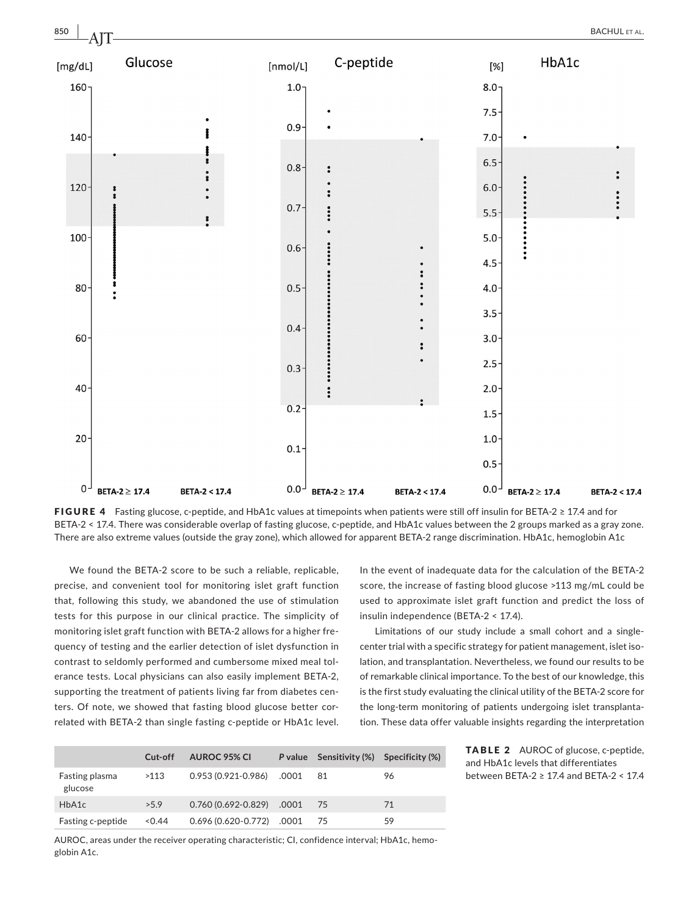

FIGURE 4 Fasting glucose, c-peptide, and HbA1c values at timepoints when patients were still off insulin for BETA-2  $\geq$  17.4 and for BETA-2 < 17.4. There was considerable overlap of fasting glucose, c-peptide, and HbA1c values between the 2 groups marked as a gray zone. There are also extreme values (outside the gray zone), which allowed for apparent BETA‐2 range discrimination. HbA1c, hemoglobin A1c

We found the BETA‐2 score to be such a reliable, replicable, precise, and convenient tool for monitoring islet graft function that, following this study, we abandoned the use of stimulation tests for this purpose in our clinical practice. The simplicity of monitoring islet graft function with BETA‐2 allows for a higher fre‐ quency of testing and the earlier detection of islet dysfunction in contrast to seldomly performed and cumbersome mixed meal tol‐ erance tests. Local physicians can also easily implement BETA‐2, supporting the treatment of patients living far from diabetes centers. Of note, we showed that fasting blood glucose better correlated with BETA-2 than single fasting c-peptide or HbA1c level. In the event of inadequate data for the calculation of the BETA‐2 score, the increase of fasting blood glucose >113 mg/mL could be used to approximate islet graft function and predict the loss of insulin independence (BETA‐2 < 17.4).

Limitations of our study include a small cohort and a single‐ center trial with a specific strategy for patient management, islet iso‐ lation, and transplantation. Nevertheless, we found our results to be of remarkable clinical importance. To the best of our knowledge, this is the first study evaluating the clinical utility of the BETA‐2 score for the long‐term monitoring of patients undergoing islet transplanta‐ tion. These data offer valuable insights regarding the interpretation

> TABLE 2 AUROC of glucose, c-peptide, and HbA1c levels that differentiates between BETA‐2 ≥ 17.4 and BETA‐2 < 17.4

|                           | Cut-off | <b>AUROC 95% CI</b>          |       | P value Sensitivity (%) Specificity (%) |    |
|---------------------------|---------|------------------------------|-------|-----------------------------------------|----|
| Fasting plasma<br>glucose | >113    | $0.953(0.921 - 0.986)$       | .0001 | -81                                     | 96 |
| HbA1c                     | >5.9    | $0.760(0.692 - 0.829)$       | .0001 | 75                                      | 71 |
| Fasting c-peptide         | 0.44    | $0.696(0.620 - 0.772)$ .0001 |       | -75                                     | 59 |

AUROC, areas under the receiver operating characteristic; CI, confidence interval; HbA1c, hemoglobin A1c.